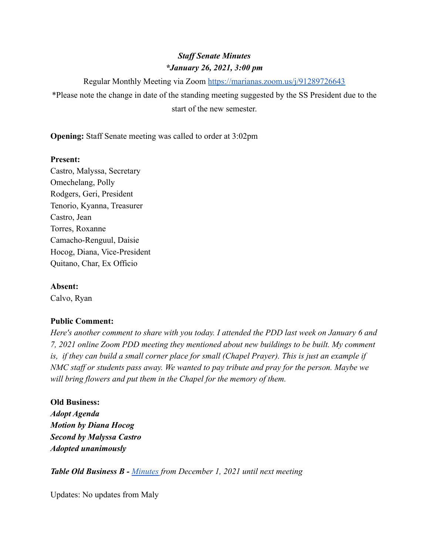# *Staff Senate Minutes \*January 26, 2021, 3:00 pm*

Regular Monthly Meeting via Zoom <https://marianas.zoom.us/j/91289726643>

\*Please note the change in date of the standing meeting suggested by the SS President due to the start of the new semester.

**Opening:** Staff Senate meeting was called to order at 3:02pm

### **Present:**

Castro, Malyssa, Secretary Omechelang, Polly Rodgers, Geri, President Tenorio, Kyanna, Treasurer Castro, Jean Torres, Roxanne Camacho-Renguul, Daisie Hocog, Diana, Vice-President Quitano, Char, Ex Officio

# **Absent:**

Calvo, Ryan

## **Public Comment:**

*Here's another comment to share with you today. I attended the PDD last week on January 6 and 7, 2021 online Zoom PDD meeting they mentioned about new buildings to be built. My comment is, if they can build a small corner place for small (Chapel Prayer). This is just an example if NMC staff or students pass away. We wanted to pay tribute and pray for the person. Maybe we will bring flowers and put them in the Chapel for the memory of them.*

#### **Old Business:**

*Adopt Agenda Motion by Diana Hocog Second by Malyssa Castro Adopted unanimously*

*Table Old Business B - [Minutes](https://docs.google.com/document/d/1LRrHeI-U1zMRS7mwgUL0HkytVk15JZtIsST57cuW3mU/edit?usp=sharing) from December 1, 2021 until next meeting*

Updates: No updates from Maly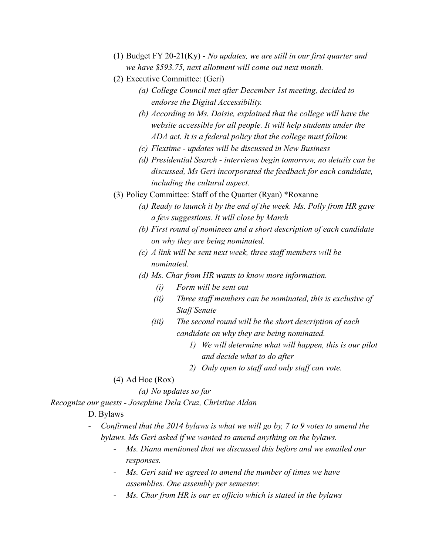- (1) Budget FY 20-21(Ky) *No updates, we are still in our first quarter and we have \$593.75, next allotment will come out next month.*
- (2) Executive Committee: (Geri)
	- *(a) College Council met after December 1st meeting, decided to endorse the Digital Accessibility.*
	- *(b) According to Ms. Daisie, explained that the college will have the website accessible for all people. It will help students under the ADA act. It is a federal policy that the college must follow.*
	- *(c) Flextime updates will be discussed in New Business*
	- *(d) Presidential Search interviews begin tomorrow, no details can be discussed, Ms Geri incorporated the feedback for each candidate, including the cultural aspect.*
- (3) Policy Committee: Staff of the Quarter (Ryan) \*Roxanne
	- *(a) Ready to launch it by the end of the week. Ms. Polly from HR gave a few suggestions. It will close by March*
	- *(b) First round of nominees and a short description of each candidate on why they are being nominated.*
	- *(c) A link will be sent next week, three staff members will be nominated.*
	- *(d) Ms. Char from HR wants to know more information.*
		- *(i) Form will be sent out*
		- *(ii) Three staff members can be nominated, this is exclusive of Staff Senate*
		- *(iii) The second round will be the short description of each candidate on why they are being nominated.*
			- *1) We will determine what will happen, this is our pilot and decide what to do after*
			- *2) Only open to staff and only staff can vote.*
- (4) Ad Hoc (Rox)

*(a) No updates so far*

*Recognize our guests - Josephine Dela Cruz, Christine Aldan*

- D. Bylaws
- *- Confirmed that the 2014 bylaws is what we will go by, 7 to 9 votes to amend the bylaws. Ms Geri asked if we wanted to amend anything on the bylaws.*
	- *- Ms. Diana mentioned that we discussed this before and we emailed our responses.*
	- *Ms. Geri said we agreed to amend the number of times we have assemblies. One assembly per semester.*
	- *- Ms. Char from HR is our ex officio which is stated in the bylaws*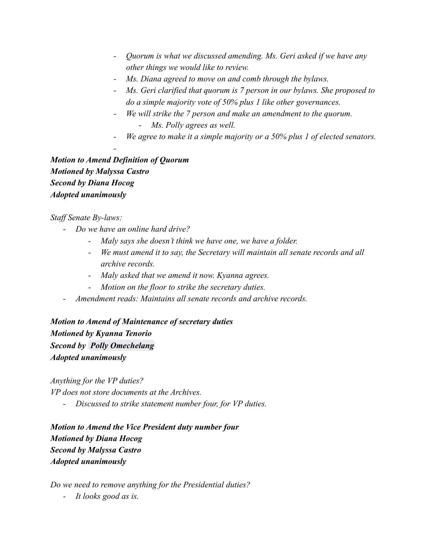- *- Quorum is what we discussed amending. Ms. Geri asked if we have any other things we would like to review.*
- *- Ms. Diana agreed to move on and comb through the bylaws.*
- *- Ms. Geri clarified that quorum is 7 person in our bylaws. She proposed to do a simple majority vote of 50% plus 1 like other governances.*
- *- We will strike the 7 person and make an amendment to the quorum.*
	- *- Ms. Polly agrees as well.*
- *We agree to make it a simple majority or a 50% plus 1 of elected senators.*

*Motion to Amend Definition of Quorum Motioned by Malyssa Castro Second by Diana Hocog Adopted unanimously*

*-*

### *Staff Senate By-laws:*

- *- Do we have an online hard drive?*
	- *- Maly says she doesn't think we have one, we have a folder.*
	- *- We must amend it to say, the Secretary will maintain all senate records and all archive records.*
	- *- Maly asked that we amend it now. Kyanna agrees.*
	- *- Motion on the floor to strike the secretary duties.*
- *- Amendment reads: Maintains all senate records and archive records.*

*Motion to Amend of Maintenance of secretary duties Motioned by Kyanna Tenorio Second by [Polly Omechelang](mailto:polly.omechelang@marianas.edu) Adopted unanimously*

*Anything for the VP duties?*

*VP does not store documents at the Archives.*

*- Discussed to strike statement number four, for VP duties.*

*Motion to Amend the Vice President duty number four Motioned by Diana Hocog Second by Malyssa Castro Adopted unanimously*

*Do we need to remove anything for the Presidential duties?*

*- It looks good as is.*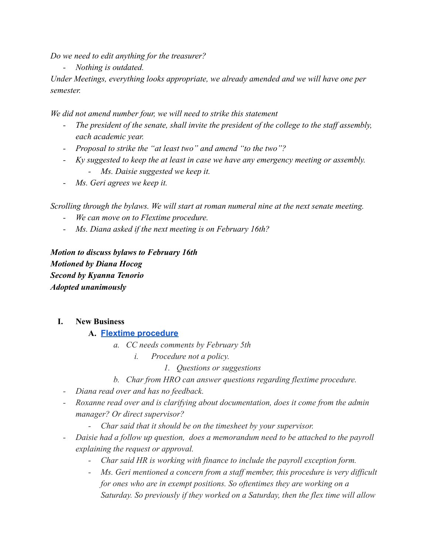*Do we need to edit anything for the treasurer?*

*- Nothing is outdated.*

*Under Meetings, everything looks appropriate, we already amended and we will have one per semester.*

*We did not amend number four, we will need to strike this statement*

- *- The president of the senate, shall invite the president of the college to the staff assembly, each academic year.*
- *- Proposal to strike the "at least two" and amend "to the two"?*
- *- Ky suggested to keep the at least in case we have any emergency meeting or assembly. - Ms. Daisie suggested we keep it.*
- *- Ms. Geri agrees we keep it.*

*Scrolling through the bylaws. We will start at roman numeral nine at the next senate meeting.*

- *- We can move on to Flextime procedure.*
- *- Ms. Diana asked if the next meeting is on February 16th?*

*Motion to discuss bylaws to February 16th Motioned by Diana Hocog Second by Kyanna Tenorio Adopted unanimously*

**I. New Business**

#### **A. [Flextime procedure](https://drive.google.com/file/d/1hvlVN7c4ttBZySreeXKKq3gYm2rpGFw2/view?usp=sharing)**

- *a. CC needs comments by February 5th*
	- *i. Procedure not a policy.*
		- *1. Questions or suggestions*
- *b. Char from HRO can answer questions regarding flextime procedure.*
- *- Diana read over and has no feedback.*
- *- Roxanne read over and is clarifying about documentation, does it come from the admin manager? Or direct supervisor?*
	- *- Char said that it should be on the timesheet by your supervisor.*
- *- Daisie had a follow up question, does a memorandum need to be attached to the payroll explaining the request or approval.*
	- *- Char said HR is working with finance to include the payroll exception form.*
	- *- Ms. Geri mentioned a concern from a staff member, this procedure is very difficult for ones who are in exempt positions. So oftentimes they are working on a Saturday. So previously if they worked on a Saturday, then the flex time will allow*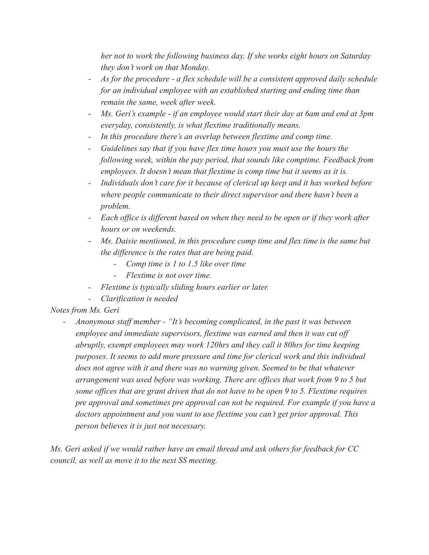*her not to work the following business day. If she works eight hours on Saturday they don't work on that Monday.*

- *- As for the procedure a flex schedule will be a consistent approved daily schedule for an individual employee with an established starting and ending time than remain the same, week after week.*
- *- Ms. Geri's example if an employee would start their day at 6am and end at 3pm everyday, consistently, is what flextime traditionally means.*
- *- In this procedure there's an overlap between flextime and comp time.*
- *- Guidelines say that if you have flex time hours you must use the hours the following week, within the pay period, that sounds like comptime. Feedback from employees. It doesn't mean that flextime is comp time but it seems as it is.*
- *- Individuals don't care for it because of clerical up keep and it has worked before where people communicate to their direct supervisor and there hasn't been a problem.*
- *- Each office is different based on when they need to be open or if they work after hours or on weekends.*
- *- Ms. Daisie mentioned, in this procedure comp time and flex time is the same but the difference is the rates that are being paid.*
	- *- Comp time is 1 to 1.5 like over time*
	- *- Flextime is not over time.*
- *- Flextime is typically sliding hours earlier or later.*
- *- Clarification is needed*

# *Notes from Ms. Geri*

*- Anonymous staff member - "It's becoming complicated, in the past it was between employee and immediate supervisors, flextime was earned and then it was cut off abruptly, exempt employees may work 120hrs and they call it 80hrs for time keeping purposes. It seems to add more pressure and time for clerical work and this individual does not agree with it and there was no warning given. Seemed to be that whatever arrangement was used before was working. There are offices that work from 9 to 5 but some offices that are grant driven that do not have to be open 9 to 5. Flextime requires pre approval and sometimes pre approval can not be required. For example if you have a doctors appointment and you want to use flextime you can't get prior approval. This person believes it is just not necessary.*

*Ms. Geri asked if we would rather have an email thread and ask others for feedback for CC council, as well as move it to the next SS meeting.*